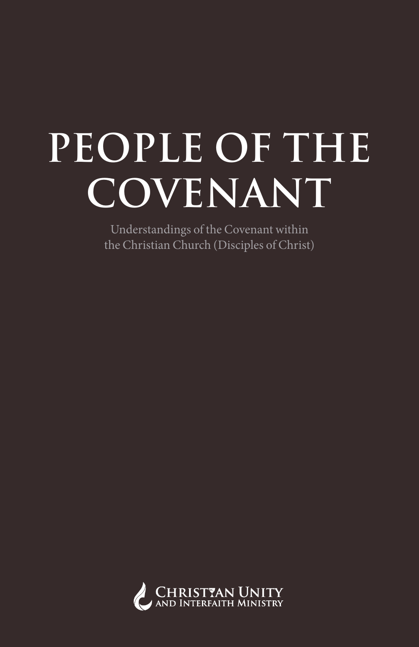# **PEOPLE OF THE COVENANT**

Understandings of the Covenant within the Christian Church (Disciples of Christ)

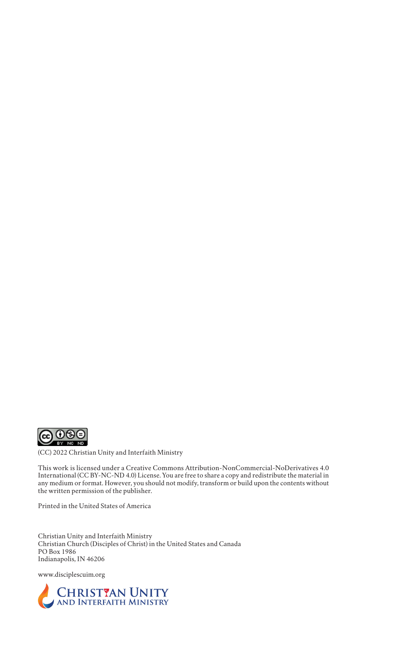

(CC) 2022 Christian Unity and Interfaith Ministry

This work is licensed under a Creative Commons Attribution-NonCommercial-NoDerivatives 4.0 International (CC BY-NC-ND 4.0) License. You are free to share a copy and redistribute the material in any medium or format. However, you should not modify, transform or build upon the contents without the written permission of the publisher.

Printed in the United States of America

Christian Unity and Interfaith Ministry Christian Church (Disciples of Christ) in the United States and Canada PO Box 1986 Indianapolis, IN 46206

www.disciplescuim.org

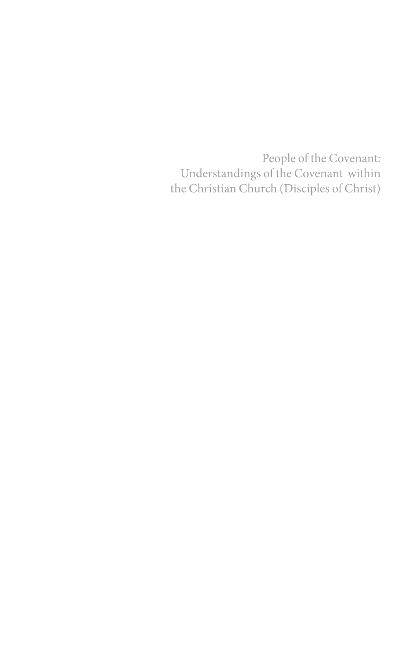People of the Covenant: Understandings of the Covenant within the Christian Church (Disciples of Christ)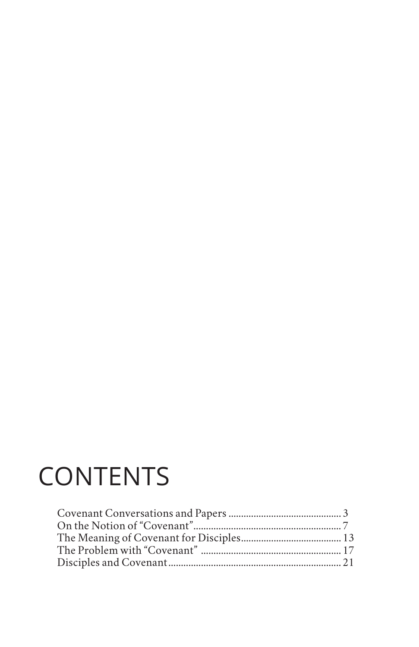# **CONTENTS**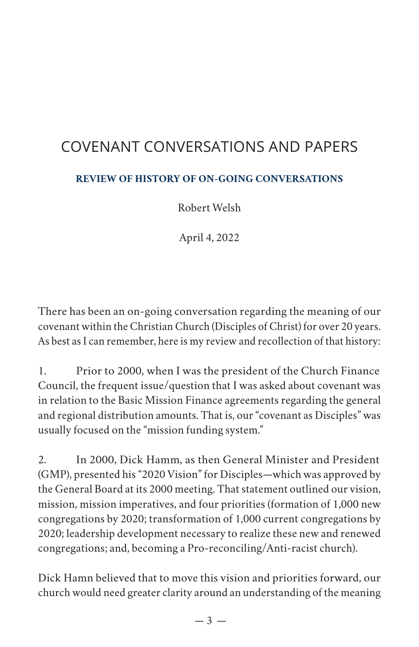# <span id="page-4-0"></span>COVENANT CONVERSATIONS AND PAPERS

#### **REVIEW OF HISTORY OF ON-GOING CONVERSATIONS**

Robert Welsh

April 4, 2022

There has been an on-going conversation regarding the meaning of our covenant within the Christian Church (Disciples of Christ) for over 20 years. As best as I can remember, here is my review and recollection of that history:

1. Prior to 2000, when I was the president of the Church Finance Council, the frequent issue/question that I was asked about covenant was in relation to the Basic Mission Finance agreements regarding the general and regional distribution amounts. That is, our "covenant as Disciples" was usually focused on the "mission funding system."

2. In 2000, Dick Hamm, as then General Minister and President (GMP), presented his "2020 Vision" for Disciples—which was approved by the General Board at its 2000 meeting. That statement outlined our vision, mission, mission imperatives, and four priorities (formation of 1,000 new congregations by 2020; transformation of 1,000 current congregations by 2020; leadership development necessary to realize these new and renewed congregations; and, becoming a Pro-reconciling/Anti-racist church).

Dick Hamn believed that to move this vision and priorities forward, our church would need greater clarity around an understanding of the meaning

 $-3 -$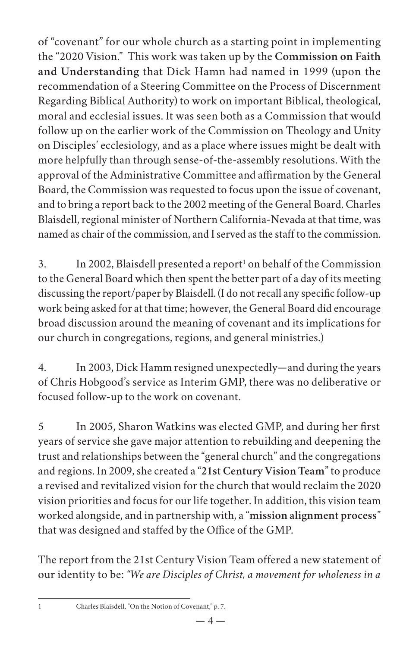of "covenant" for our whole church as a starting point in implementing the "2020 Vision." This work was taken up by the **Commission on Faith and Understanding** that Dick Hamn had named in 1999 (upon the recommendation of a Steering Committee on the Process of Discernment Regarding Biblical Authority) to work on important Biblical, theological, moral and ecclesial issues. It was seen both as a Commission that would follow up on the earlier work of the Commission on Theology and Unity on Disciples' ecclesiology, and as a place where issues might be dealt with more helpfully than through sense-of-the-assembly resolutions. With the approval of the Administrative Committee and affirmation by the General Board, the Commission was requested to focus upon the issue of covenant, and to bring a report back to the 2002 meeting of the General Board. Charles Blaisdell, regional minister of Northern California-Nevada at that time, was named as chair of the commission, and I served as the staff to the commission.

3. In 2002, Blaisdell presented a report<sup>1</sup> on behalf of the Commission to the General Board which then spent the better part of a day of its meeting discussing the report/paper by Blaisdell. (I do not recall any specific follow-up work being asked for at that time; however, the General Board did encourage broad discussion around the meaning of covenant and its implications for our church in congregations, regions, and general ministries.)

4. In 2003, Dick Hamm resigned unexpectedly—and during the years of Chris Hobgood's service as Interim GMP, there was no deliberative or focused follow-up to the work on covenant.

5 In 2005, Sharon Watkins was elected GMP, and during her first years of service she gave major attention to rebuilding and deepening the trust and relationships between the "general church" and the congregations and regions. In 2009, she created a "**21st Century Vision Team**" to produce a revised and revitalized vision for the church that would reclaim the 2020 vision priorities and focus for our life together. In addition, this vision team worked alongside, and in partnership with, a "**mission alignment process**" that was designed and staffed by the Office of the GMP.

The report from the 21st Century Vision Team offered a new statement of our identity to be: *"We are Disciples of Christ, a movement for wholeness in a* 

<sup>1</sup> Charles Blaisdell, "On the Notion of Covenant," p. 7.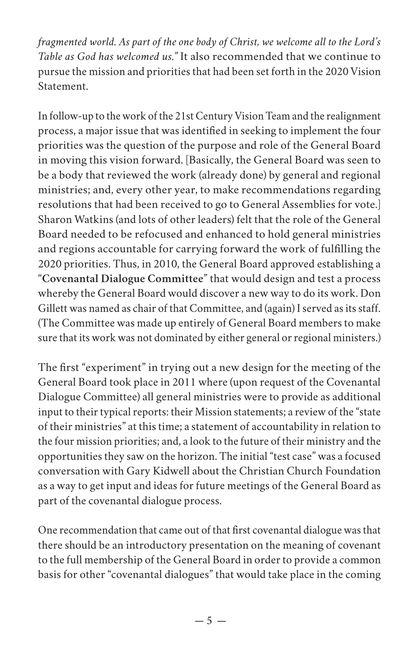*fragmented world. As part of the one body of Christ, we welcome all to the Lord's Table as God has welcomed us."* It also recommended that we continue to pursue the mission and priorities that had been set forth in the 2020 Vision Statement.

In follow-up to the work of the 21st Century Vision Team and the realignment process, a major issue that was identified in seeking to implement the four priorities was the question of the purpose and role of the General Board in moving this vision forward. [Basically, the General Board was seen to be a body that reviewed the work (already done) by general and regional ministries; and, every other year, to make recommendations regarding resolutions that had been received to go to General Assemblies for vote.] Sharon Watkins (and lots of other leaders) felt that the role of the General Board needed to be refocused and enhanced to hold general ministries and regions accountable for carrying forward the work of fulfilling the 2020 priorities. Thus, in 2010, the General Board approved establishing a "**Covenantal Dialogue Committee**" that would design and test a process whereby the General Board would discover a new way to do its work. Don Gillett was named as chair of that Committee, and (again) I served as its staff. (The Committee was made up entirely of General Board members to make sure that its work was not dominated by either general or regional ministers.)

The first "experiment" in trying out a new design for the meeting of the General Board took place in 2011 where (upon request of the Covenantal Dialogue Committee) all general ministries were to provide as additional input to their typical reports: their Mission statements; a review of the "state of their ministries" at this time; a statement of accountability in relation to the four mission priorities; and, a look to the future of their ministry and the opportunities they saw on the horizon. The initial "test case" was a focused conversation with Gary Kidwell about the Christian Church Foundation as a way to get input and ideas for future meetings of the General Board as part of the covenantal dialogue process.

One recommendation that came out of that first covenantal dialogue was that there should be an introductory presentation on the meaning of covenant to the full membership of the General Board in order to provide a common basis for other "covenantal dialogues" that would take place in the coming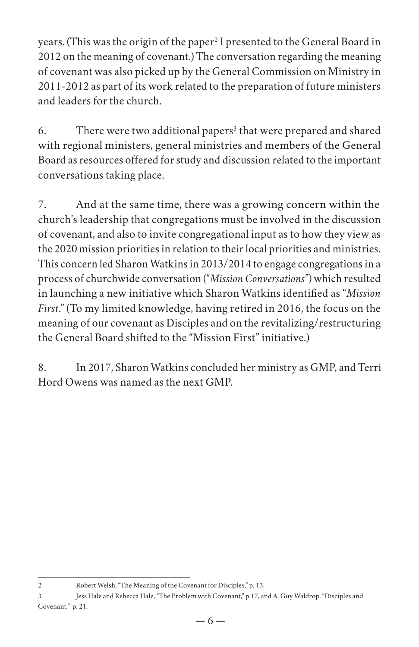years. (This was the origin of the paper<sup>2</sup> I presented to the General Board in 2012 on the meaning of covenant.) The conversation regarding the meaning of covenant was also picked up by the General Commission on Ministry in 2011-2012 as part of its work related to the preparation of future ministers and leaders for the church.

6. There were two additional papers<sup>3</sup> that were prepared and shared with regional ministers, general ministries and members of the General Board as resources offered for study and discussion related to the important conversations taking place.

7. And at the same time, there was a growing concern within the church's leadership that congregations must be involved in the discussion of covenant, and also to invite congregational input as to how they view as the 2020 mission priorities in relation to their local priorities and ministries. This concern led Sharon Watkins in 2013/2014 to engage congregations in a process of churchwide conversation ("*Mission Conversations*") which resulted in launching a new initiative which Sharon Watkins identified as "*Mission First*." (To my limited knowledge, having retired in 2016, the focus on the meaning of our covenant as Disciples and on the revitalizing/restructuring the General Board shifted to the "Mission First" initiative.)

8. In 2017, Sharon Watkins concluded her ministry as GMP, and Terri Hord Owens was named as the next GMP.

<sup>2</sup> Robert Welsh, "The Meaning of the Covenant for Disciples," p. 13.

<sup>3</sup> Jess Hale and Rebecca Hale, "The Problem with Covenant," p.17, and A. Guy Waldrop, "Disciples and Covenant," p. 21.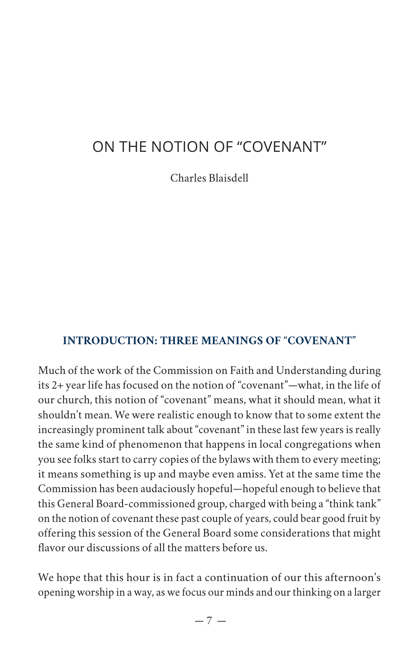# <span id="page-8-0"></span>ON THE NOTION OF "COVENANT"

Charles Blaisdell

#### **INTRODUCTION: THREE MEANINGS OF "COVENANT"**

Much of the work of the Commission on Faith and Understanding during its 2+ year life has focused on the notion of "covenant"—what, in the life of our church, this notion of "covenant" means, what it should mean, what it shouldn't mean. We were realistic enough to know that to some extent the increasingly prominent talk about "covenant" in these last few years is really the same kind of phenomenon that happens in local congregations when you see folks start to carry copies of the bylaws with them to every meeting; it means something is up and maybe even amiss. Yet at the same time the Commission has been audaciously hopeful—hopeful enough to believe that this General Board-commissioned group, charged with being a "think tank" on the notion of covenant these past couple of years, could bear good fruit by offering this session of the General Board some considerations that might flavor our discussions of all the matters before us.

We hope that this hour is in fact a continuation of our this afternoon's opening worship in a way, as we focus our minds and our thinking on a larger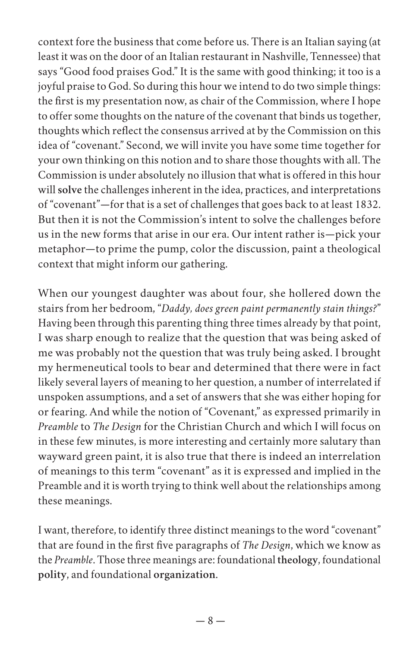context fore the business that come before us. There is an Italian saying (at least it was on the door of an Italian restaurant in Nashville, Tennessee) that says "Good food praises God." It is the same with good thinking; it too is a joyful praise to God. So during this hour we intend to do two simple things: the first is my presentation now, as chair of the Commission, where I hope to offer some thoughts on the nature of the covenant that binds us together, thoughts which reflect the consensus arrived at by the Commission on this idea of "covenant." Second, we will invite you have some time together for your own thinking on this notion and to share those thoughts with all. The Commission is under absolutely no illusion that what is offered in this hour will **solve** the challenges inherent in the idea, practices, and interpretations of "covenant"—for that is a set of challenges that goes back to at least 1832. But then it is not the Commission's intent to solve the challenges before us in the new forms that arise in our era. Our intent rather is—pick your metaphor—to prime the pump, color the discussion, paint a theological context that might inform our gathering.

When our youngest daughter was about four, she hollered down the stairs from her bedroom, "*Daddy, does green paint permanently stain things?*" Having been through this parenting thing three times already by that point, I was sharp enough to realize that the question that was being asked of me was probably not the question that was truly being asked. I brought my hermeneutical tools to bear and determined that there were in fact likely several layers of meaning to her question, a number of interrelated if unspoken assumptions, and a set of answers that she was either hoping for or fearing. And while the notion of "Covenant," as expressed primarily in *Preamble* to *The Design* for the Christian Church and which I will focus on in these few minutes, is more interesting and certainly more salutary than wayward green paint, it is also true that there is indeed an interrelation of meanings to this term "covenant" as it is expressed and implied in the Preamble and it is worth trying to think well about the relationships among these meanings.

I want, therefore, to identify three distinct meanings to the word "covenant" that are found in the first five paragraphs of *The Design*, which we know as the *Preamble*. Those three meanings are: foundational **theology**, foundational **polity**, and foundational **organization**.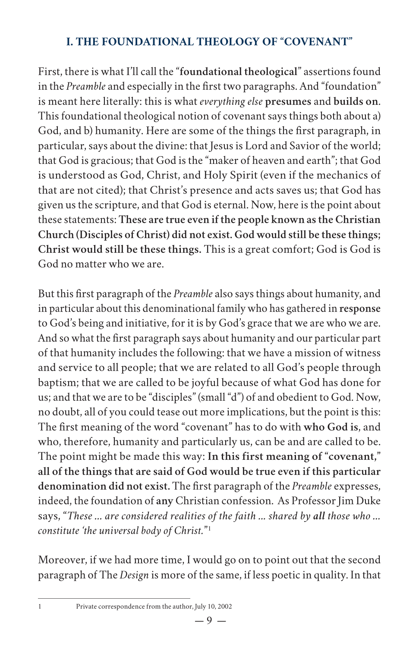#### **I. THE FOUNDATIONAL THEOLOGY OF "COVENANT"**

First, there is what I'll call the "**foundational theological**" assertions found in the *Preamble* and especially in the first two paragraphs. And "foundation" is meant here literally: this is what *everything else* **presumes** and **builds on**. This foundational theological notion of covenant says things both about a) God, and b) humanity. Here are some of the things the first paragraph, in particular, says about the divine: that Jesus is Lord and Savior of the world; that God is gracious; that God is the "maker of heaven and earth"; that God is understood as God, Christ, and Holy Spirit (even if the mechanics of that are not cited); that Christ's presence and acts saves us; that God has given us the scripture, and that God is eternal. Now, here is the point about these statements: **These are true even if the people known as the Christian Church (Disciples of Christ) did not exist. God would still be these things; Christ would still be these things.** This is a great comfort; God is God is God no matter who we are.

But this first paragraph of the *Preamble* also says things about humanity, and in particular about this denominational family who has gathered in **response** to God's being and initiative, for it is by God's grace that we are who we are. And so what the first paragraph says about humanity and our particular part of that humanity includes the following: that we have a mission of witness and service to all people; that we are related to all God's people through baptism; that we are called to be joyful because of what God has done for us; and that we are to be "disciples" (small "d") of and obedient to God. Now, no doubt, all of you could tease out more implications, but the point is this: The first meaning of the word "covenant" has to do with **who God is**, and who, therefore, humanity and particularly us, can be and are called to be. The point might be made this way: **In this first meaning of "covenant," all of the things that are said of God would be true even if this particular denomination did not exist.** The first paragraph of the *Preamble* expresses, indeed, the foundation of **any** Christian confession. As Professor Jim Duke says, "*These ... are considered realities of the faith ... shared by all those who ... constitute 'the universal body of Christ.*"1

Moreover, if we had more time, I would go on to point out that the second paragraph of The *Design* is more of the same, if less poetic in quality. In that

<sup>1</sup> Private correspondence from the author, July 10, 2002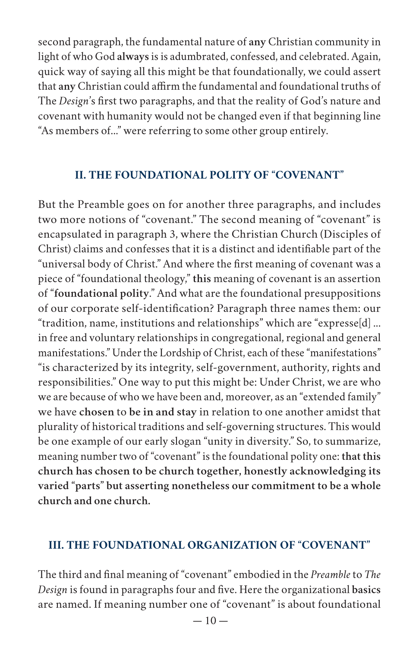second paragraph, the fundamental nature of **any** Christian community in light of who God **always** is is adumbrated, confessed, and celebrated. Again, quick way of saying all this might be that foundationally, we could assert that **any** Christian could affirm the fundamental and foundational truths of The *Design*'s first two paragraphs, and that the reality of God's nature and covenant with humanity would not be changed even if that beginning line "As members of..." were referring to some other group entirely.

#### **II. THE FOUNDATIONAL POLITY OF "COVENANT"**

But the Preamble goes on for another three paragraphs, and includes two more notions of "covenant." The second meaning of "covenant" is encapsulated in paragraph 3, where the Christian Church (Disciples of Christ) claims and confesses that it is a distinct and identifiable part of the "universal body of Christ." And where the first meaning of covenant was a piece of "foundational theology," **this** meaning of covenant is an assertion of "**foundational polity**." And what are the foundational presuppositions of our corporate self-identification? Paragraph three names them: our "tradition, name, institutions and relationships" which are "expresse[d] ... in free and voluntary relationships in congregational, regional and general manifestations." Under the Lordship of Christ, each of these "manifestations" "is characterized by its integrity, self-government, authority, rights and responsibilities." One way to put this might be: Under Christ, we are who we are because of who we have been and, moreover, as an "extended family" we have **chosen** to **be in and stay** in relation to one another amidst that plurality of historical traditions and self-governing structures. This would be one example of our early slogan "unity in diversity." So, to summarize, meaning number two of "covenant" is the foundational polity one: **that this church has chosen to be church together, honestly acknowledging its varied "parts" but asserting nonetheless our commitment to be a whole church and one church.**

#### **III. THE FOUNDATIONAL ORGANIZATION OF "COVENANT"**

The third and final meaning of "covenant" embodied in the *Preamble* to *The Design* is found in paragraphs four and five. Here the organizational **basics**  are named. If meaning number one of "covenant" is about foundational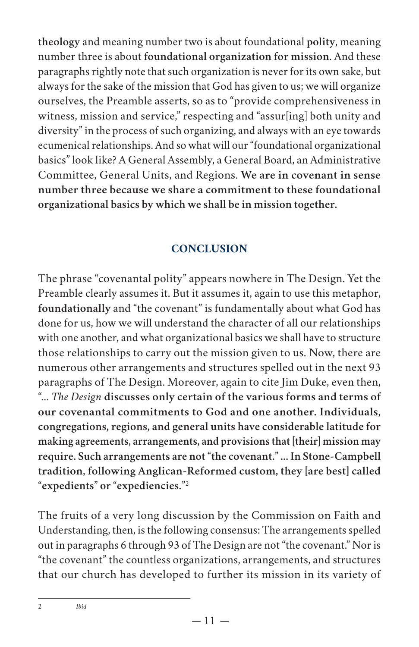**theology** and meaning number two is about foundational **polity**, meaning number three is about **foundational organization for mission**. And these paragraphs rightly note that such organization is never for its own sake, but always for the sake of the mission that God has given to us; we will organize ourselves, the Preamble asserts, so as to "provide comprehensiveness in witness, mission and service," respecting and "assur[ing] both unity and diversity" in the process of such organizing, and always with an eye towards ecumenical relationships. And so what will our "foundational organizational basics" look like? A General Assembly, a General Board, an Administrative Committee, General Units, and Regions. **We are in covenant in sense number three because we share a commitment to these foundational organizational basics by which we shall be in mission together.**

#### **CONCLUSION**

The phrase "covenantal polity" appears nowhere in The Design. Yet the Preamble clearly assumes it. But it assumes it, again to use this metaphor, **foundationally** and "the covenant" is fundamentally about what God has done for us, how we will understand the character of all our relationships with one another, and what organizational basics we shall have to structure those relationships to carry out the mission given to us. Now, there are numerous other arrangements and structures spelled out in the next 93 paragraphs of The Design. Moreover, again to cite Jim Duke, even then, "... *The Design* **discusses only certain of the various forms and terms of our covenantal commitments to God and one another. Individuals, congregations, regions, and general units have considerable latitude for making agreements, arrangements, and provisions that [their] mission may require. Such arrangements are not "the covenant." ... In Stone-Campbell tradition, following Anglican-Reformed custom, they [are best] called "expedients" or "expediencies.**"2

The fruits of a very long discussion by the Commission on Faith and Understanding, then, is the following consensus: The arrangements spelled out in paragraphs 6 through 93 of The Design are not "the covenant." Nor is "the covenant" the countless organizations, arrangements, and structures that our church has developed to further its mission in its variety of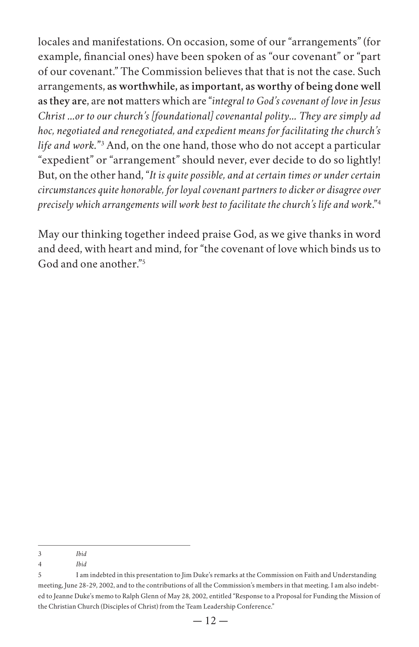locales and manifestations. On occasion, some of our "arrangements" (for example, financial ones) have been spoken of as "our covenant" or "part of our covenant." The Commission believes that that is not the case. Such arrangements, **as worthwhile, as important, as worthy of being done well as they are**, are **not** matters which are "*integral to God's covenant of love in Jesus Christ ...or to our church's [foundational] covenantal polity... They are simply ad hoc, negotiated and renegotiated, and expedient means for facilitating the church's life and work.*"3 And, on the one hand, those who do not accept a particular "expedient" or "arrangement" should never, ever decide to do so lightly! But, on the other hand, "*It is quite possible, and at certain times or under certain circumstances quite honorable, for loyal covenant partners to dicker or disagree over precisely which arrangements will work best to facilitate the church's life and work*."4

May our thinking together indeed praise God, as we give thanks in word and deed, with heart and mind, for "the covenant of love which binds us to God and one another."5

<sup>3</sup> *Ibid*

<sup>4</sup> *Ibid*

<sup>5</sup> I am indebted in this presentation to Jim Duke's remarks at the Commission on Faith and Understanding meeting, June 28-29, 2002, and to the contributions of all the Commission's members in that meeting. I am also indebted to Jeanne Duke's memo to Ralph Glenn of May 28, 2002, entitled "Response to a Proposal for Funding the Mission of the Christian Church (Disciples of Christ) from the Team Leadership Conference."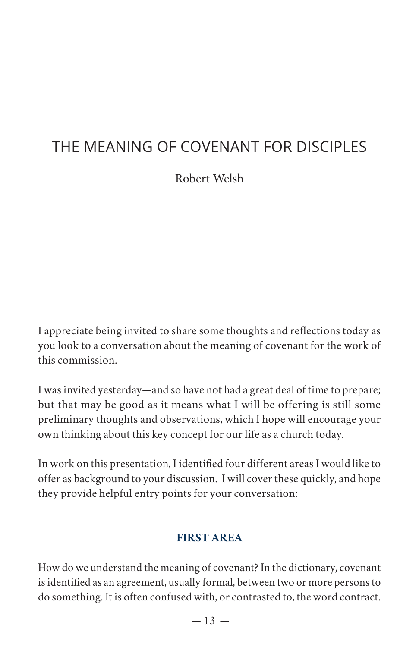# <span id="page-14-0"></span>THE MEANING OF COVENANT FOR DISCIPLES

Robert Welsh

I appreciate being invited to share some thoughts and reflections today as you look to a conversation about the meaning of covenant for the work of this commission.

I was invited yesterday—and so have not had a great deal of time to prepare; but that may be good as it means what I will be offering is still some preliminary thoughts and observations, which I hope will encourage your own thinking about this key concept for our life as a church today.

In work on this presentation, I identified four different areas I would like to offer as background to your discussion. I will cover these quickly, and hope they provide helpful entry points for your conversation:

#### **FIRST AREA**

How do we understand the meaning of covenant? In the dictionary, covenant is identified as an agreement, usually formal, between two or more persons to do something. It is often confused with, or contrasted to, the word contract.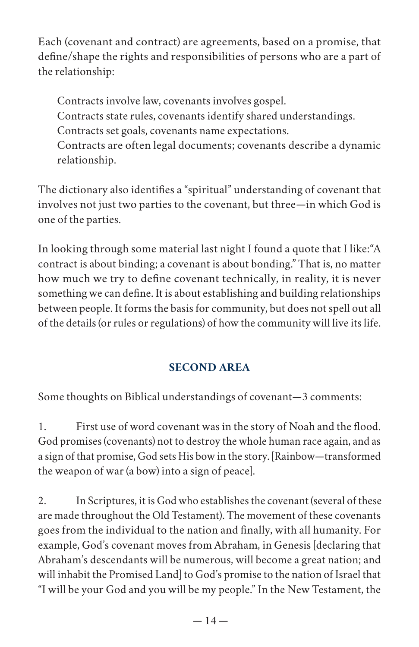Each (covenant and contract) are agreements, based on a promise, that define/shape the rights and responsibilities of persons who are a part of the relationship:

Contracts involve law, covenants involves gospel. Contracts state rules, covenants identify shared understandings. Contracts set goals, covenants name expectations. Contracts are often legal documents; covenants describe a dynamic relationship.

The dictionary also identifies a "spiritual" understanding of covenant that involves not just two parties to the covenant, but three—in which God is one of the parties.

In looking through some material last night I found a quote that I like:"A contract is about binding; a covenant is about bonding." That is, no matter how much we try to define covenant technically, in reality, it is never something we can define. It is about establishing and building relationships between people. It forms the basis for community, but does not spell out all of the details (or rules or regulations) of how the community will live its life.

#### **SECOND AREA**

Some thoughts on Biblical understandings of covenant—3 comments:

1. First use of word covenant was in the story of Noah and the flood. God promises (covenants) not to destroy the whole human race again, and as a sign of that promise, God sets His bow in the story. [Rainbow—transformed the weapon of war (a bow) into a sign of peace].

2. In Scriptures, it is God who establishes the covenant (several of these are made throughout the Old Testament). The movement of these covenants goes from the individual to the nation and finally, with all humanity. For example, God's covenant moves from Abraham, in Genesis [declaring that Abraham's descendants will be numerous, will become a great nation; and will inhabit the Promised Land] to God's promise to the nation of Israel that "I will be your God and you will be my people." In the New Testament, the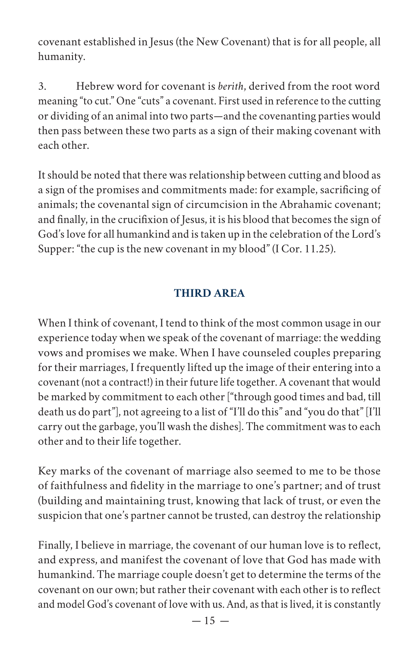covenant established in Jesus (the New Covenant) that is for all people, all humanity.

3. Hebrew word for covenant is *berith*, derived from the root word meaning "to cut." One "cuts" a covenant. First used in reference to the cutting or dividing of an animal into two parts—and the covenanting parties would then pass between these two parts as a sign of their making covenant with each other.

It should be noted that there was relationship between cutting and blood as a sign of the promises and commitments made: for example, sacrificing of animals; the covenantal sign of circumcision in the Abrahamic covenant; and finally, in the crucifixion of Jesus, it is his blood that becomes the sign of God's love for all humankind and is taken up in the celebration of the Lord's Supper: "the cup is the new covenant in my blood" (I Cor. 11.25).

#### **THIRD AREA**

When I think of covenant, I tend to think of the most common usage in our experience today when we speak of the covenant of marriage: the wedding vows and promises we make. When I have counseled couples preparing for their marriages, I frequently lifted up the image of their entering into a covenant (not a contract!) in their future life together. A covenant that would be marked by commitment to each other ["through good times and bad, till death us do part"], not agreeing to a list of "I'll do this" and "you do that" [I'll carry out the garbage, you'll wash the dishes]. The commitment was to each other and to their life together.

Key marks of the covenant of marriage also seemed to me to be those of faithfulness and fidelity in the marriage to one's partner; and of trust (building and maintaining trust, knowing that lack of trust, or even the suspicion that one's partner cannot be trusted, can destroy the relationship

Finally, I believe in marriage, the covenant of our human love is to reflect, and express, and manifest the covenant of love that God has made with humankind. The marriage couple doesn't get to determine the terms of the covenant on our own; but rather their covenant with each other is to reflect and model God's covenant of love with us. And, as that is lived, it is constantly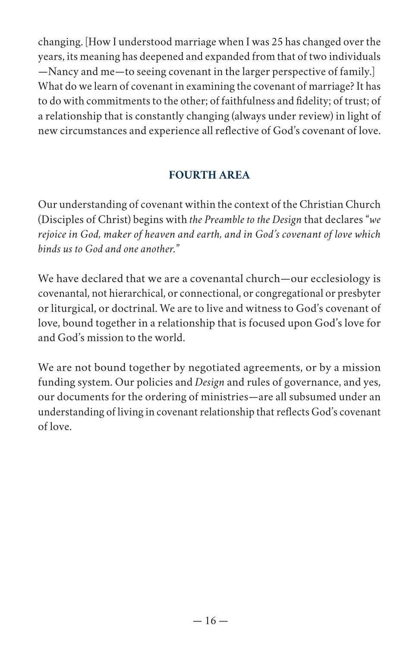changing. [How I understood marriage when I was 25 has changed over the years, its meaning has deepened and expanded from that of two individuals —Nancy and me—to seeing covenant in the larger perspective of family.] What do we learn of covenant in examining the covenant of marriage? It has to do with commitments to the other; of faithfulness and fidelity; of trust; of a relationship that is constantly changing (always under review) in light of new circumstances and experience all reflective of God's covenant of love.

#### **FOURTH AREA**

Our understanding of covenant within the context of the Christian Church (Disciples of Christ) begins with *the Preamble to the Design* that declares "*we rejoice in God, maker of heaven and earth, and in God's covenant of love which binds us to God and one another.*"

We have declared that we are a covenantal church—our ecclesiology is covenantal, not hierarchical, or connectional, or congregational or presbyter or liturgical, or doctrinal. We are to live and witness to God's covenant of love, bound together in a relationship that is focused upon God's love for and God's mission to the world.

We are not bound together by negotiated agreements, or by a mission funding system. Our policies and *Design* and rules of governance, and yes, our documents for the ordering of ministries—are all subsumed under an understanding of living in covenant relationship that reflects God's covenant of love.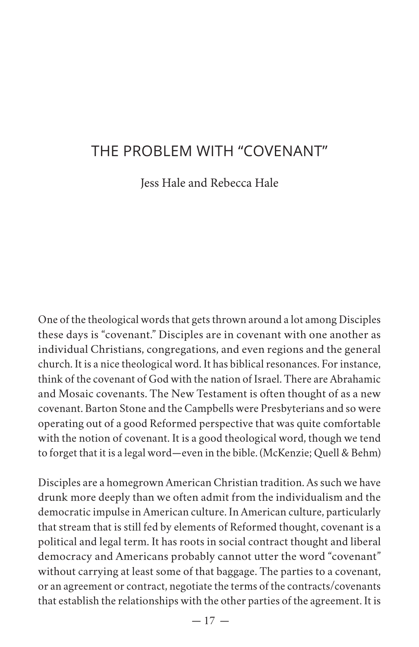## <span id="page-18-0"></span>THE PROBLEM WITH "COVENANT"

Jess Hale and Rebecca Hale

One of the theological words that gets thrown around a lot among Disciples these days is "covenant." Disciples are in covenant with one another as individual Christians, congregations, and even regions and the general church. It is a nice theological word. It has biblical resonances. For instance, think of the covenant of God with the nation of Israel. There are Abrahamic and Mosaic covenants. The New Testament is often thought of as a new covenant. Barton Stone and the Campbells were Presbyterians and so were operating out of a good Reformed perspective that was quite comfortable with the notion of covenant. It is a good theological word, though we tend to forget that it is a legal word—even in the bible. (McKenzie; Quell & Behm)

Disciples are a homegrown American Christian tradition. As such we have drunk more deeply than we often admit from the individualism and the democratic impulse in American culture. In American culture, particularly that stream that is still fed by elements of Reformed thought, covenant is a political and legal term. It has roots in social contract thought and liberal democracy and Americans probably cannot utter the word "covenant" without carrying at least some of that baggage. The parties to a covenant, or an agreement or contract, negotiate the terms of the contracts/covenants that establish the relationships with the other parties of the agreement. It is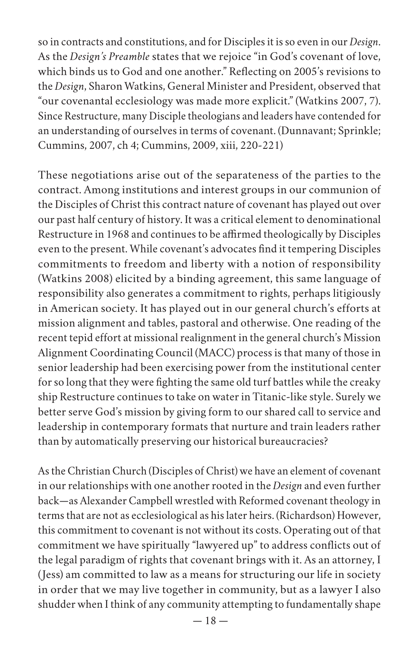so in contracts and constitutions, and for Disciples it is so even in our *Design*. As the *Design's Preamble* states that we rejoice "in God's covenant of love, which binds us to God and one another." Reflecting on 2005's revisions to the *Design*, Sharon Watkins, General Minister and President, observed that "our covenantal ecclesiology was made more explicit." (Watkins 2007, 7). Since Restructure, many Disciple theologians and leaders have contended for an understanding of ourselves in terms of covenant. (Dunnavant; Sprinkle; Cummins, 2007, ch 4; Cummins, 2009, xiii, 220-221)

These negotiations arise out of the separateness of the parties to the contract. Among institutions and interest groups in our communion of the Disciples of Christ this contract nature of covenant has played out over our past half century of history. It was a critical element to denominational Restructure in 1968 and continues to be affirmed theologically by Disciples even to the present. While covenant's advocates find it tempering Disciples commitments to freedom and liberty with a notion of responsibility (Watkins 2008) elicited by a binding agreement, this same language of responsibility also generates a commitment to rights, perhaps litigiously in American society. It has played out in our general church's efforts at mission alignment and tables, pastoral and otherwise. One reading of the recent tepid effort at missional realignment in the general church's Mission Alignment Coordinating Council (MACC) process is that many of those in senior leadership had been exercising power from the institutional center for so long that they were fighting the same old turf battles while the creaky ship Restructure continues to take on water in Titanic-like style. Surely we better serve God's mission by giving form to our shared call to service and leadership in contemporary formats that nurture and train leaders rather than by automatically preserving our historical bureaucracies?

As the Christian Church (Disciples of Christ) we have an element of covenant in our relationships with one another rooted in the *Design* and even further back—as Alexander Campbell wrestled with Reformed covenant theology in terms that are not as ecclesiological as his later heirs. (Richardson) However, this commitment to covenant is not without its costs. Operating out of that commitment we have spiritually "lawyered up" to address conflicts out of the legal paradigm of rights that covenant brings with it. As an attorney, I (Jess) am committed to law as a means for structuring our life in society in order that we may live together in community, but as a lawyer I also shudder when I think of any community attempting to fundamentally shape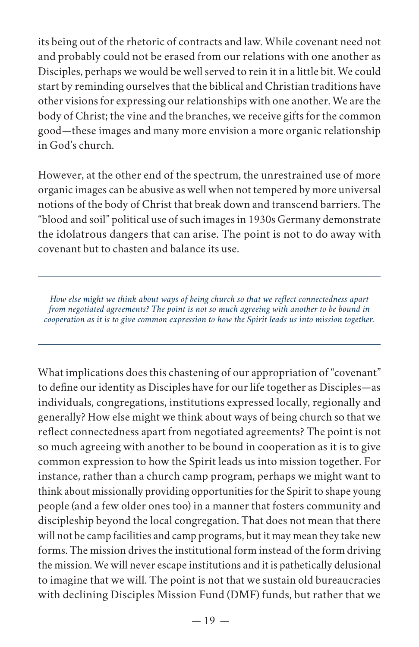its being out of the rhetoric of contracts and law. While covenant need not and probably could not be erased from our relations with one another as Disciples, perhaps we would be well served to rein it in a little bit. We could start by reminding ourselves that the biblical and Christian traditions have other visions for expressing our relationships with one another. We are the body of Christ; the vine and the branches, we receive gifts for the common good—these images and many more envision a more organic relationship in God's church.

However, at the other end of the spectrum, the unrestrained use of more organic images can be abusive as well when not tempered by more universal notions of the body of Christ that break down and transcend barriers. The "blood and soil" political use of such images in 1930s Germany demonstrate the idolatrous dangers that can arise. The point is not to do away with covenant but to chasten and balance its use.

*How else might we think about ways of being church so that we reflect connectedness apart from negotiated agreements? The point is not so much agreeing with another to be bound in cooperation as it is to give common expression to how the Spirit leads us into mission together.*

What implications does this chastening of our appropriation of "covenant" to define our identity as Disciples have for our life together as Disciples—as individuals, congregations, institutions expressed locally, regionally and generally? How else might we think about ways of being church so that we reflect connectedness apart from negotiated agreements? The point is not so much agreeing with another to be bound in cooperation as it is to give common expression to how the Spirit leads us into mission together. For instance, rather than a church camp program, perhaps we might want to think about missionally providing opportunities for the Spirit to shape young people (and a few older ones too) in a manner that fosters community and discipleship beyond the local congregation. That does not mean that there will not be camp facilities and camp programs, but it may mean they take new forms. The mission drives the institutional form instead of the form driving the mission. We will never escape institutions and it is pathetically delusional to imagine that we will. The point is not that we sustain old bureaucracies with declining Disciples Mission Fund (DMF) funds, but rather that we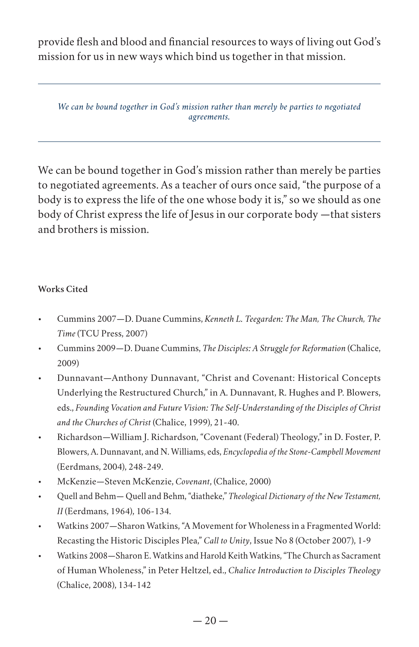provide flesh and blood and financial resources to ways of living out God's mission for us in new ways which bind us together in that mission.

*We can be bound together in God's mission rather than merely be parties to negotiated agreements.*

We can be bound together in God's mission rather than merely be parties to negotiated agreements. As a teacher of ours once said, "the purpose of a body is to express the life of the one whose body it is," so we should as one body of Christ express the life of Jesus in our corporate body —that sisters and brothers is mission.

#### **Works Cited**

- Cummins 2007—D. Duane Cummins, *Kenneth L. Teegarden: The Man, The Church, The Time* (TCU Press, 2007)
- Cummins 2009—D. Duane Cummins, *The Disciples: A Struggle for Reformation* (Chalice, 2009)
- Dunnavant—Anthony Dunnavant, "Christ and Covenant: Historical Concepts Underlying the Restructured Church," in A. Dunnavant, R. Hughes and P. Blowers, eds., *Founding Vocation and Future Vision: The Self-Understanding of the Disciples of Christ and the Churches of Christ* (Chalice, 1999), 21-40.
- Richardson—William J. Richardson, "Covenant (Federal) Theology," in D. Foster, P. Blowers, A. Dunnavant, and N. Williams, eds, *Encyclopedia of the Stone-Campbell Movement* (Eerdmans, 2004), 248-249.
- McKenzie—Steven McKenzie, *Covenant*, (Chalice, 2000)
- Quell and Behm— Quell and Behm, "diatheke," *Theological Dictionary of the New Testament, II* (Eerdmans, 1964), 106-134.
- Watkins 2007—Sharon Watkins, "A Movement for Wholeness in a Fragmented World: Recasting the Historic Disciples Plea," *Call to Unity*, Issue No 8 (October 2007), 1-9
- Watkins 2008—Sharon E. Watkins and Harold Keith Watkins, "The Church as Sacrament of Human Wholeness," in Peter Heltzel, ed., *Chalice Introduction to Disciples Theology* (Chalice, 2008), 134-142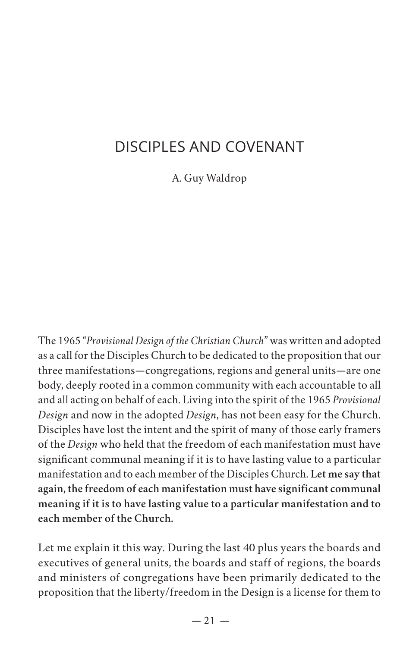## <span id="page-22-0"></span>DISCIPLES AND COVENANT

A. Guy Waldrop

The 1965 "*Provisional Design of the Christian Church*" was written and adopted as a call for the Disciples Church to be dedicated to the proposition that our three manifestations—congregations, regions and general units—are one body, deeply rooted in a common community with each accountable to all and all acting on behalf of each. Living into the spirit of the 1965 *Provisional Design* and now in the adopted *Design*, has not been easy for the Church. Disciples have lost the intent and the spirit of many of those early framers of the *Design* who held that the freedom of each manifestation must have significant communal meaning if it is to have lasting value to a particular manifestation and to each member of the Disciples Church. **Let me say that again, the freedom of each manifestation must have significant communal meaning if it is to have lasting value to a particular manifestation and to each member of the Church.**

Let me explain it this way. During the last 40 plus years the boards and executives of general units, the boards and staff of regions, the boards and ministers of congregations have been primarily dedicated to the proposition that the liberty/freedom in the Design is a license for them to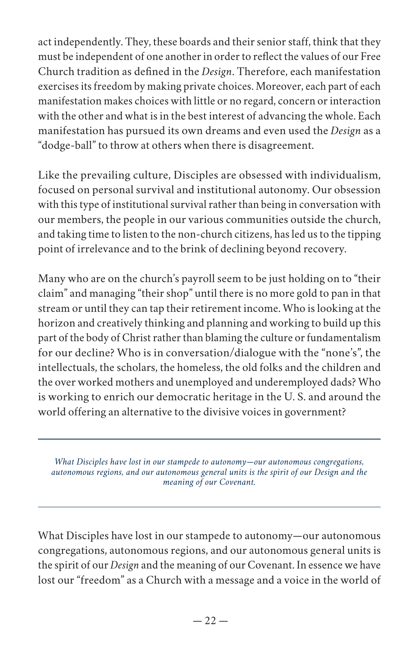act independently. They, these boards and their senior staff, think that they must be independent of one another in order to reflect the values of our Free Church tradition as defined in the *Design*. Therefore, each manifestation exercises its freedom by making private choices. Moreover, each part of each manifestation makes choices with little or no regard, concern or interaction with the other and what is in the best interest of advancing the whole. Each manifestation has pursued its own dreams and even used the *Design* as a "dodge-ball" to throw at others when there is disagreement.

Like the prevailing culture, Disciples are obsessed with individualism, focused on personal survival and institutional autonomy. Our obsession with this type of institutional survival rather than being in conversation with our members, the people in our various communities outside the church, and taking time to listen to the non-church citizens, has led us to the tipping point of irrelevance and to the brink of declining beyond recovery.

Many who are on the church's payroll seem to be just holding on to "their claim" and managing "their shop" until there is no more gold to pan in that stream or until they can tap their retirement income. Who is looking at the horizon and creatively thinking and planning and working to build up this part of the body of Christ rather than blaming the culture or fundamentalism for our decline? Who is in conversation/dialogue with the "none's", the intellectuals, the scholars, the homeless, the old folks and the children and the over worked mothers and unemployed and underemployed dads? Who is working to enrich our democratic heritage in the U. S. and around the world offering an alternative to the divisive voices in government?

*What Disciples have lost in our stampede to autonomy—our autonomous congregations, autonomous regions, and our autonomous general units is the spirit of our Design and the meaning of our Covenant.*

What Disciples have lost in our stampede to autonomy—our autonomous congregations, autonomous regions, and our autonomous general units is the spirit of our *Design* and the meaning of our Covenant. In essence we have lost our "freedom" as a Church with a message and a voice in the world of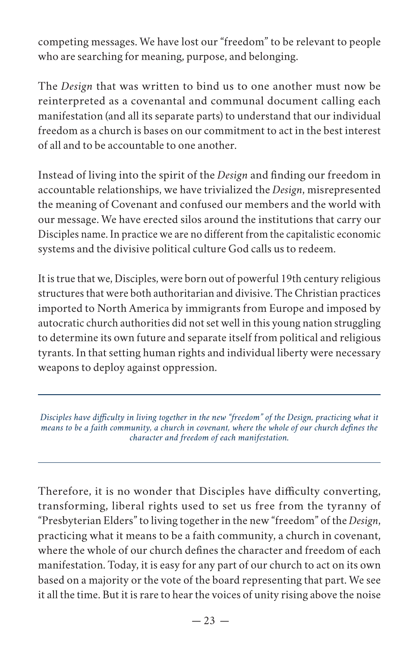competing messages. We have lost our "freedom" to be relevant to people who are searching for meaning, purpose, and belonging.

The *Design* that was written to bind us to one another must now be reinterpreted as a covenantal and communal document calling each manifestation (and all its separate parts) to understand that our individual freedom as a church is bases on our commitment to act in the best interest of all and to be accountable to one another.

Instead of living into the spirit of the *Design* and finding our freedom in accountable relationships, we have trivialized the *Design*, misrepresented the meaning of Covenant and confused our members and the world with our message. We have erected silos around the institutions that carry our Disciples name. In practice we are no different from the capitalistic economic systems and the divisive political culture God calls us to redeem.

It is true that we, Disciples, were born out of powerful 19th century religious structures that were both authoritarian and divisive. The Christian practices imported to North America by immigrants from Europe and imposed by autocratic church authorities did not set well in this young nation struggling to determine its own future and separate itself from political and religious tyrants. In that setting human rights and individual liberty were necessary weapons to deploy against oppression.

*Disciples have difficulty in living together in the new "freedom" of the Design, practicing what it means to be a faith community, a church in covenant, where the whole of our church defines the character and freedom of each manifestation.* 

Therefore, it is no wonder that Disciples have difficulty converting, transforming, liberal rights used to set us free from the tyranny of "Presbyterian Elders" to living together in the new "freedom" of the *Design*, practicing what it means to be a faith community, a church in covenant, where the whole of our church defines the character and freedom of each manifestation. Today, it is easy for any part of our church to act on its own based on a majority or the vote of the board representing that part. We see it all the time. But it is rare to hear the voices of unity rising above the noise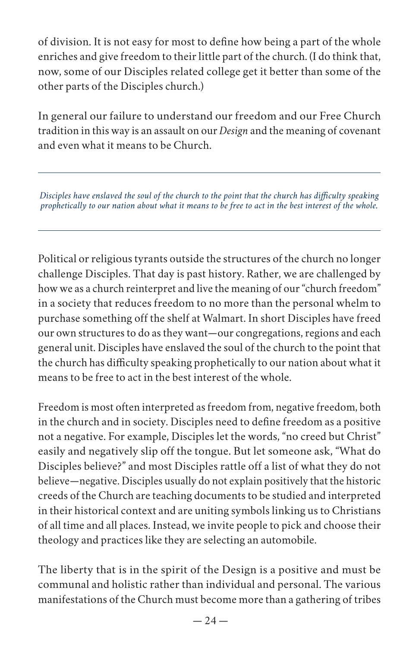of division. It is not easy for most to define how being a part of the whole enriches and give freedom to their little part of the church. (I do think that, now, some of our Disciples related college get it better than some of the other parts of the Disciples church.)

In general our failure to understand our freedom and our Free Church tradition in this way is an assault on our *Design* and the meaning of covenant and even what it means to be Church.

*Disciples have enslaved the soul of the church to the point that the church has difficulty speaking prophetically to our nation about what it means to be free to act in the best interest of the whole.* 

Political or religious tyrants outside the structures of the church no longer challenge Disciples. That day is past history. Rather, we are challenged by how we as a church reinterpret and live the meaning of our "church freedom" in a society that reduces freedom to no more than the personal whelm to purchase something off the shelf at Walmart. In short Disciples have freed our own structures to do as they want—our congregations, regions and each general unit. Disciples have enslaved the soul of the church to the point that the church has difficulty speaking prophetically to our nation about what it means to be free to act in the best interest of the whole.

Freedom is most often interpreted as freedom from, negative freedom, both in the church and in society. Disciples need to define freedom as a positive not a negative. For example, Disciples let the words, "no creed but Christ" easily and negatively slip off the tongue. But let someone ask, "What do Disciples believe?" and most Disciples rattle off a list of what they do not believe—negative. Disciples usually do not explain positively that the historic creeds of the Church are teaching documents to be studied and interpreted in their historical context and are uniting symbols linking us to Christians of all time and all places. Instead, we invite people to pick and choose their theology and practices like they are selecting an automobile.

The liberty that is in the spirit of the Design is a positive and must be communal and holistic rather than individual and personal. The various manifestations of the Church must become more than a gathering of tribes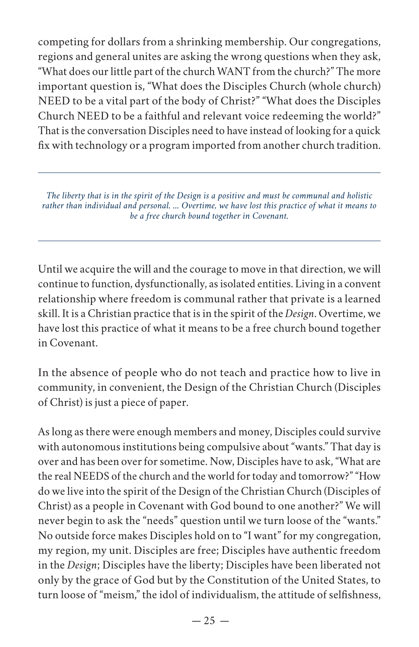competing for dollars from a shrinking membership. Our congregations, regions and general unites are asking the wrong questions when they ask, "What does our little part of the church WANT from the church?" The more important question is, "What does the Disciples Church (whole church) NEED to be a vital part of the body of Christ?" "What does the Disciples Church NEED to be a faithful and relevant voice redeeming the world?" That is the conversation Disciples need to have instead of looking for a quick fix with technology or a program imported from another church tradition.

*The liberty that is in the spirit of the Design is a positive and must be communal and holistic rather than individual and personal. ... Overtime, we have lost this practice of what it means to be a free church bound together in Covenant.*

Until we acquire the will and the courage to move in that direction, we will continue to function, dysfunctionally, as isolated entities. Living in a convent relationship where freedom is communal rather that private is a learned skill. It is a Christian practice that is in the spirit of the *Design*. Overtime, we have lost this practice of what it means to be a free church bound together in Covenant.

In the absence of people who do not teach and practice how to live in community, in convenient, the Design of the Christian Church (Disciples of Christ) is just a piece of paper.

As long as there were enough members and money, Disciples could survive with autonomous institutions being compulsive about "wants." That day is over and has been over for sometime. Now, Disciples have to ask, "What are the real NEEDS of the church and the world for today and tomorrow?" "How do we live into the spirit of the Design of the Christian Church (Disciples of Christ) as a people in Covenant with God bound to one another?" We will never begin to ask the "needs" question until we turn loose of the "wants." No outside force makes Disciples hold on to "I want" for my congregation, my region, my unit. Disciples are free; Disciples have authentic freedom in the *Design*; Disciples have the liberty; Disciples have been liberated not only by the grace of God but by the Constitution of the United States, to turn loose of "meism," the idol of individualism, the attitude of selfishness,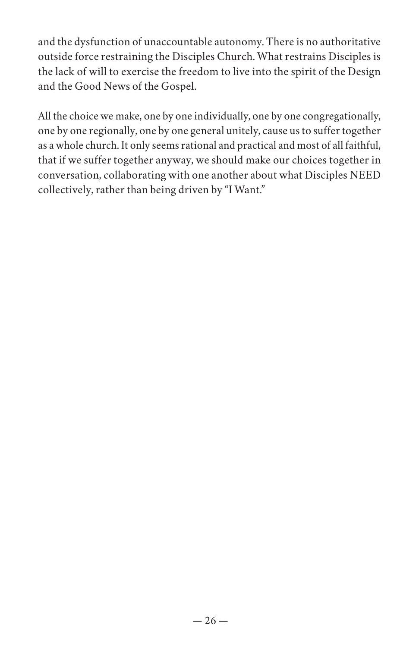and the dysfunction of unaccountable autonomy. There is no authoritative outside force restraining the Disciples Church. What restrains Disciples is the lack of will to exercise the freedom to live into the spirit of the Design and the Good News of the Gospel.

All the choice we make, one by one individually, one by one congregationally, one by one regionally, one by one general unitely, cause us to suffer together as a whole church. It only seems rational and practical and most of all faithful, that if we suffer together anyway, we should make our choices together in conversation, collaborating with one another about what Disciples NEED collectively, rather than being driven by "I Want."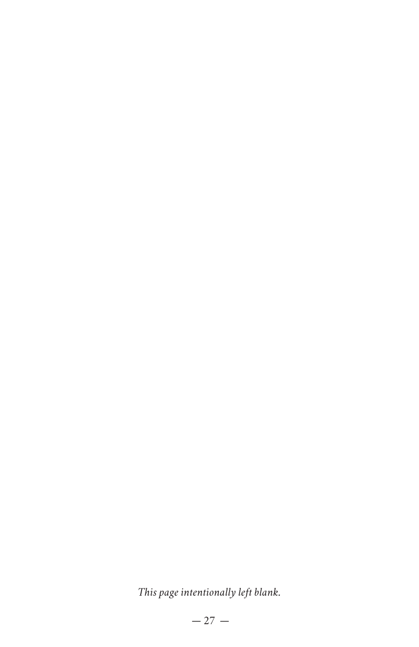*This page intentionally left blank.*

 $-27-$